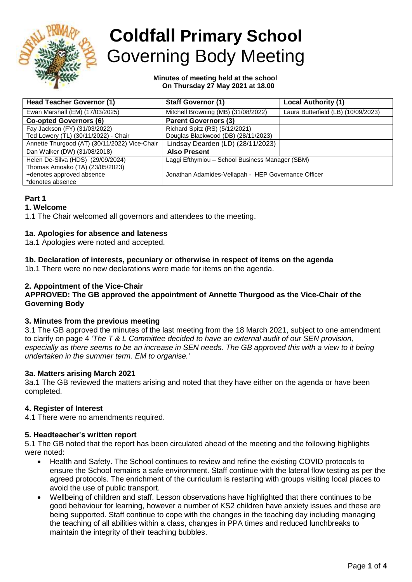

# **Coldfall Primary School** Governing Body Meeting

#### **Minutes of meeting held at the school On Thursday 27 May 2021 at 18.00**

| <b>Head Teacher Governor (1)</b>              | <b>Staff Governor (1)</b>                           | <b>Local Authority (1)</b>          |  |
|-----------------------------------------------|-----------------------------------------------------|-------------------------------------|--|
| Ewan Marshall (EM) (17/03/2025)               | Mitchell Browning (MB) (31/08/2022)                 | Laura Butterfield (LB) (10/09/2023) |  |
| <b>Co-opted Governors (6)</b>                 | <b>Parent Governors (3)</b>                         |                                     |  |
| Fay Jackson (FY) (31/03/2022)                 | Richard Spitz (RS) (5/12/2021)                      |                                     |  |
| Ted Lowery (TL) (30/11/2022) - Chair          | Douglas Blackwood (DB) (28/11/2023)                 |                                     |  |
| Annette Thurgood (AT) (30/11/2022) Vice-Chair | Lindsay Dearden (LD) (28/11/2023)                   |                                     |  |
| Dan Walker (DW) (31/08/2018)                  | <b>Also Present</b>                                 |                                     |  |
| Helen De-Silva (HDS) (29/09/2024)             | Laggi Efthymiou - School Business Manager (SBM)     |                                     |  |
| Thomas Amoako (TA) (23/05/2023)               |                                                     |                                     |  |
| +denotes approved absence                     | Jonathan Adamides-Vellapah - HEP Governance Officer |                                     |  |
| *denotes absence                              |                                                     |                                     |  |

# **Part 1**

## **1. Welcome**

1.1 The Chair welcomed all governors and attendees to the meeting.

# **1a. Apologies for absence and lateness**

1a.1 Apologies were noted and accepted.

# **1b. Declaration of interests, pecuniary or otherwise in respect of items on the agenda**

1b.1 There were no new declarations were made for items on the agenda.

## **2. Appointment of the Vice-Chair**

## **APPROVED: The GB approved the appointment of Annette Thurgood as the Vice-Chair of the Governing Body**

## **3. Minutes from the previous meeting**

3.1 The GB approved the minutes of the last meeting from the 18 March 2021, subject to one amendment to clarify on page 4 *'The T & L Committee decided to have an external audit of our SEN provision, especially as there seems to be an increase in SEN needs. The GB approved this with a view to it being undertaken in the summer term. EM to organise.'*

## **3a. Matters arising March 2021**

3a.1 The GB reviewed the matters arising and noted that they have either on the agenda or have been completed.

## **4. Register of Interest**

4.1 There were no amendments required.

## **5. Headteacher's written report**

5.1 The GB noted that the report has been circulated ahead of the meeting and the following highlights were noted:

- Health and Safety. The School continues to review and refine the existing COVID protocols to ensure the School remains a safe environment. Staff continue with the lateral flow testing as per the agreed protocols. The enrichment of the curriculum is restarting with groups visiting local places to avoid the use of public transport.
- Wellbeing of children and staff. Lesson observations have highlighted that there continues to be good behaviour for learning, however a number of KS2 children have anxiety issues and these are being supported. Staff continue to cope with the changes in the teaching day including managing the teaching of all abilities within a class, changes in PPA times and reduced lunchbreaks to maintain the integrity of their teaching bubbles.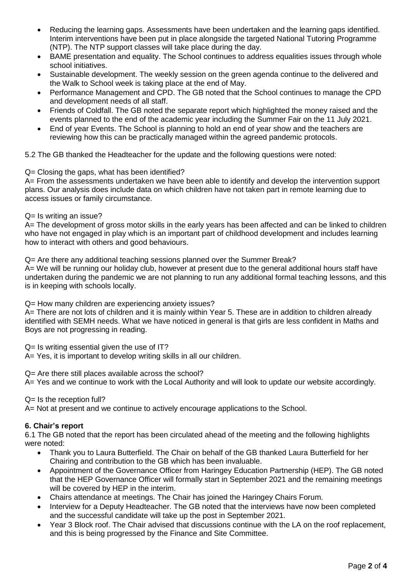- Reducing the learning gaps. Assessments have been undertaken and the learning gaps identified. Interim interventions have been put in place alongside the targeted National Tutoring Programme (NTP). The NTP support classes will take place during the day.
- BAME presentation and equality. The School continues to address equalities issues through whole school initiatives.
- Sustainable development. The weekly session on the green agenda continue to the delivered and the Walk to School week is taking place at the end of May.
- Performance Management and CPD. The GB noted that the School continues to manage the CPD and development needs of all staff.
- Friends of Coldfall. The GB noted the separate report which highlighted the money raised and the events planned to the end of the academic year including the Summer Fair on the 11 July 2021.
- End of year Events. The School is planning to hold an end of year show and the teachers are reviewing how this can be practically managed within the agreed pandemic protocols.

5.2 The GB thanked the Headteacher for the update and the following questions were noted:

## Q= Closing the gaps, what has been identified?

A= From the assessments undertaken we have been able to identify and develop the intervention support plans. Our analysis does include data on which children have not taken part in remote learning due to access issues or family circumstance.

## Q= Is writing an issue?

A= The development of gross motor skills in the early years has been affected and can be linked to children who have not engaged in play which is an important part of childhood development and includes learning how to interact with others and good behaviours.

Q= Are there any additional teaching sessions planned over the Summer Break?

A= We will be running our holiday club, however at present due to the general additional hours staff have undertaken during the pandemic we are not planning to run any additional formal teaching lessons, and this is in keeping with schools locally.

Q= How many children are experiencing anxiety issues?

A= There are not lots of children and it is mainly within Year 5. These are in addition to children already identified with SEMH needs. What we have noticed in general is that girls are less confident in Maths and Boys are not progressing in reading.

Q= Is writing essential given the use of IT?

A= Yes, it is important to develop writing skills in all our children.

Q= Are there still places available across the school?

A= Yes and we continue to work with the Local Authority and will look to update our website accordingly.

## $Q =$  Is the reception full?

A= Not at present and we continue to actively encourage applications to the School.

## **6. Chair's report**

6.1 The GB noted that the report has been circulated ahead of the meeting and the following highlights were noted:

- Thank you to Laura Butterfield. The Chair on behalf of the GB thanked Laura Butterfield for her Chairing and contribution to the GB which has been invaluable.
- Appointment of the Governance Officer from Haringey Education Partnership (HEP). The GB noted that the HEP Governance Officer will formally start in September 2021 and the remaining meetings will be covered by HEP in the interim.
- Chairs attendance at meetings. The Chair has joined the Haringey Chairs Forum.
- Interview for a Deputy Headteacher. The GB noted that the interviews have now been completed and the successful candidate will take up the post in September 2021.
- Year 3 Block roof. The Chair advised that discussions continue with the LA on the roof replacement, and this is being progressed by the Finance and Site Committee.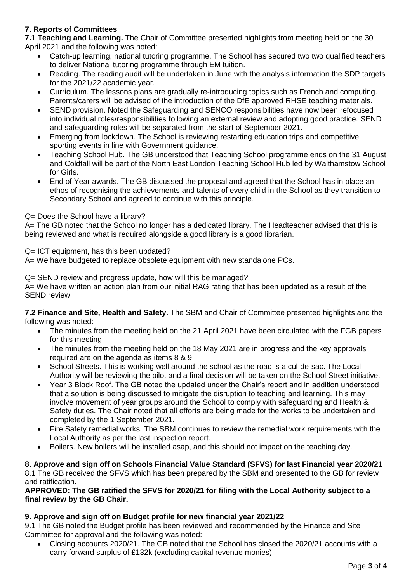# **7. Reports of Committees**

**7.1 Teaching and Learning.** The Chair of Committee presented highlights from meeting held on the 30 April 2021 and the following was noted:

- Catch-up learning, national tutoring programme. The School has secured two two qualified teachers to deliver National tutoring programme through EM tuition.
- Reading. The reading audit will be undertaken in June with the analysis information the SDP targets for the 2021/22 academic year.
- Curriculum. The lessons plans are gradually re-introducing topics such as French and computing. Parents/carers will be advised of the introduction of the DfE approved RHSE teaching materials.
- SEND provision. Noted the Safeguarding and SENCO responsibilities have now been refocused into individual roles/responsibilities following an external review and adopting good practice. SEND and safeguarding roles will be separated from the start of September 2021.
- Emerging from lockdown. The School is reviewing restarting education trips and competitive sporting events in line with Government guidance.
- Teaching School Hub. The GB understood that Teaching School programme ends on the 31 August and Coldfall will be part of the North East London Teaching School Hub led by Walthamstow School for Girls.
- End of Year awards. The GB discussed the proposal and agreed that the School has in place an ethos of recognising the achievements and talents of every child in the School as they transition to Secondary School and agreed to continue with this principle.

# Q= Does the School have a library?

A= The GB noted that the School no longer has a dedicated library. The Headteacher advised that this is being reviewed and what is required alongside a good library is a good librarian.

Q= ICT equipment, has this been updated?

A= We have budgeted to replace obsolete equipment with new standalone PCs.

Q= SEND review and progress update, how will this be managed?

A= We have written an action plan from our initial RAG rating that has been updated as a result of the SEND review.

**7.2 Finance and Site, Health and Safety.** The SBM and Chair of Committee presented highlights and the following was noted:

- The minutes from the meeting held on the 21 April 2021 have been circulated with the FGB papers for this meeting.
- The minutes from the meeting held on the 18 May 2021 are in progress and the key approvals required are on the agenda as items 8 & 9.
- School Streets. This is working well around the school as the road is a cul-de-sac. The Local Authority will be reviewing the pilot and a final decision will be taken on the School Street initiative.
- Year 3 Block Roof. The GB noted the updated under the Chair's report and in addition understood that a solution is being discussed to mitigate the disruption to teaching and learning. This may involve movement of year groups around the School to comply with safeguarding and Health & Safety duties. The Chair noted that all efforts are being made for the works to be undertaken and completed by the 1 September 2021.
- Fire Safety remedial works. The SBM continues to review the remedial work requirements with the Local Authority as per the last inspection report.
- Boilers. New boilers will be installed asap, and this should not impact on the teaching day.

**8. Approve and sign off on Schools Financial Value Standard (SFVS) for last Financial year 2020/21** 8.1 The GB received the SFVS which has been prepared by the SBM and presented to the GB for review and ratification.

## **APPROVED: The GB ratified the SFVS for 2020/21 for filing with the Local Authority subject to a final review by the GB Chair.**

# **9. Approve and sign off on Budget profile for new financial year 2021/22**

9.1 The GB noted the Budget profile has been reviewed and recommended by the Finance and Site Committee for approval and the following was noted:

 Closing accounts 2020/21. The GB noted that the School has closed the 2020/21 accounts with a carry forward surplus of £132k (excluding capital revenue monies).